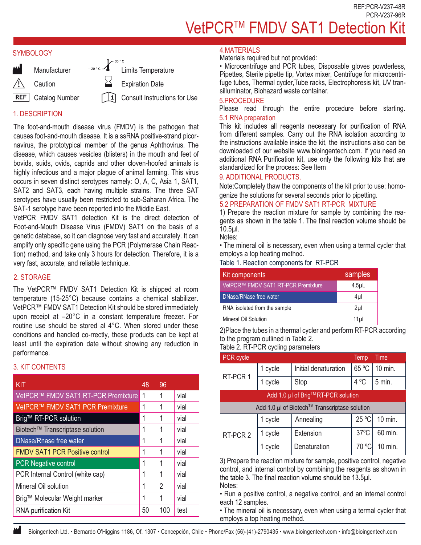REF:PCR-V237-48R PCR-V237-96R

# VetPCR™ FMDV SAT1 Detection Kit

#### **SYMBOLOGY**



# 1. DESCRIPTION

The foot-and-mouth disease virus (FMDV) is the pathogen that causes foot-and-mouth disease. It is a ssRNA positive-strand picornavirus, the prototypical member of the genus Aphthovirus. The disease, which causes vesicles (blisters) in the mouth and feet of bovids, suids, ovids, caprids and other cloven-hoofed animals is highly infectious and a major plague of animal farming. This virus occurs in seven distinct serotypes namely: O, A, C, Asia 1, SAT1, SAT2 and SAT3, each having multiple strains. The three SAT serotypes have usually been restricted to sub-Saharan Africa. The SAT-1 serotype have been reported into the Middle East.

VetPCR FMDV SAT1 detection Kit is the direct detection of Foot-and-Mouth Disease Virus (FMDV) SAT1 on the basis of a genetic database, so it can diagnose very fast and accurately. It can amplify only specific gene using the PCR (Polymerase Chain Reaction) method, and take only 3 hours for detection. Therefore, it is a very fast, accurate, and reliable technique.

## 2. STORAGE

The VetPCR™ FMDV SAT1 Detection Kit is shipped at room temperature (15-25°C) because contains a chemical stabilizer. VetPCR™ FMDV SAT1 Detection Kit should be stored immediately upon receipt at –20°C in a constant temperature freezer. For routine use should be stored al 4°C. When stored under these conditions and handled co-rrectly, these products can be kept at least until the expiration date without showing any reduction in performance.

### 3. KIT CONTENTS

| KIT                                   | 48 | 96             |      |
|---------------------------------------|----|----------------|------|
| VetPCR™ FMDV SAT1 RT-PCR Premixture   | 1  | 1              | vial |
| VetPCR™ FMDV SAT1 PCR Premixture      | 1  | 1              | vial |
| Brig™ RT-PCR solution                 | 1  | 1              | vial |
| Biotech™ Transcriptase solution       | 1  | 1              | vial |
| <b>DNase/Rnase free water</b>         | 1  | 1              | vial |
| <b>FMDV SAT1 PCR Positive control</b> | 1  | 1              | vial |
| <b>PCR Negative control</b>           | 1  | 1              | vial |
| PCR Internal Control (white cap)      | 1  | 1              | vial |
| Mineral Oil solution                  | 1  | $\overline{2}$ | vial |
| Brig™ Molecular Weight marker         | 1  | 1              | vial |
| RNA purification Kit                  | 50 | 100            | test |

#### 4.MATERIALS

Materials required but not provided:

• Microcentrifuge and PCR tubes, Disposable gloves powderless, Pipettes, Sterile pipette tip, Vortex mixer, Centrifuge for microcentrifuge tubes, Thermal cycler,Tube racks, Electrophoresis kit, UV transilluminator, Biohazard waste container.

#### 5.PROCEDURE

Please read through the entire procedure before starting. 5.1 RNA preparation<br>This kit includes all reagents necessary for purification of RNA

from different samples. Carry out the RNA isolation according to the instructions available inside the kit, the instructions also can be downloaded of our website www.bioingentech.com. If you need an additional RNA Purification kit, use only the following kits that are standardized for the process: See Item

### 9. ADDITIONAL PRODUCTS.

Note:Completely thaw the components of the kit prior to use; homogenize the solutions for several seconds prior to pipetting.

### 5.2 PREPARATION OF FMDV SAT1 RT-PCR MIXTURE

1) Prepare the reaction mixture for sample by combining the reagents as shown in the table 1. The final reaction volume should be 10.5µl.

Notes:

• The mineral oil is necessary, even when using a termal cycler that employs a top heating method.

Table 1. Reaction components for RT-PCR

| Kit components                      | samples          |
|-------------------------------------|------------------|
| VetPCR™ FMDV SAT1 RT-PCR Premixture | 4.5 <sub>µ</sub> |
| DNase/RNase free water              | 4µl              |
| RNA isolated from the sample        | 2 <sub>µ</sub>   |
| Mineral Oil Solution                | 11 <sub>µ</sub>  |

2)Place the tubes in a thermal cycler and perform RT-PCR according to the program outlined in Table 2. Table 2. RT-PCR cycling parameters

| PCR cycle                                     |         |                      | Temp           | <b>Time</b> |  |
|-----------------------------------------------|---------|----------------------|----------------|-------------|--|
| RT-PCR 1                                      | 1 cycle | Initial denaturation | 65 °C          | 10 min.     |  |
|                                               | 1 cycle | Stop                 | 4 °C           | 5 min.      |  |
| Add 1.0 µl of Brig™RT-PCR solution            |         |                      |                |             |  |
| Add 1.0 µl of Biotech™ Transcriptase solution |         |                      |                |             |  |
|                                               | 1 cycle | Annealing            | 25 °C          | 10 min.     |  |
| RT-PCR 2                                      | 1 cycle | Extension            | $37^{\circ}$ C | 60 min.     |  |
|                                               | 1 cycle | Denaturation         | 70 °C          | 10 min.     |  |

3) Prepare the reaction mixture for sample, positive control, negative control, and internal control by combining the reagents as shown in the table 3. The final reaction volume should be 13.5µl. Notes:

• Run a positive control, a negative control, and an internal control each 12 samples.

• The mineral oil is necessary, even when using a termal cycler that employs a top heating method.